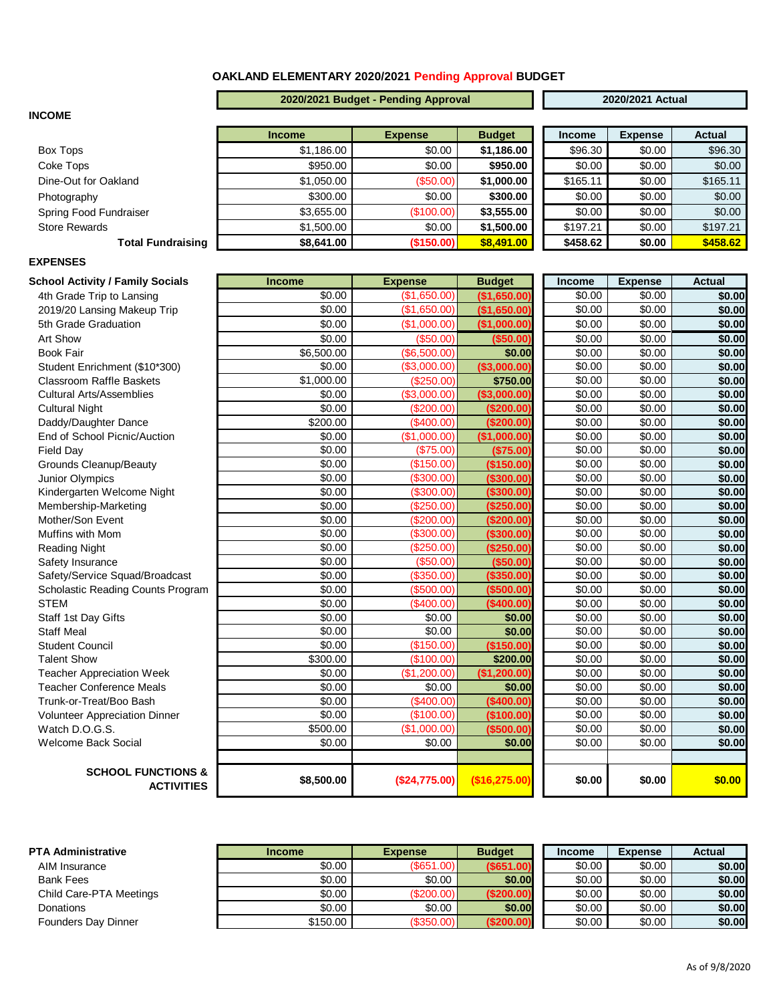### **OAKLAND ELEMENTARY 2020/2021 Pending Approval BUDGET**

#### **2020/2021 Budget - Pending Approval 2020/2021 Actual**

#### **INCOME**

|                          | <b>Income</b> | <b>Expense</b> | <b>Budget</b> | <b>Income</b> | <b>Expense</b> | <b>Actual</b> |
|--------------------------|---------------|----------------|---------------|---------------|----------------|---------------|
| Box Tops                 | \$1,186.00    | \$0.00         | \$1,186.00    | \$96.30       | \$0.00         | \$96.30       |
| Coke Tops                | \$950.00      | \$0.00         | \$950.00      | \$0.00        | \$0.00         | \$0.00        |
| Dine-Out for Oakland     | \$1,050.00    | (S50.00)       | \$1,000.00    | \$165.11      | \$0.00         | \$165.11      |
| Photography              | \$300.00      | \$0.00         | \$300.00      | \$0.00        | \$0.00         | \$0.00        |
| Spring Food Fundraiser   | \$3,655.00    | (\$100.00)     | \$3,555.00    | \$0.00        | \$0.00         | \$0.00        |
| <b>Store Rewards</b>     | \$1,500.00    | \$0.00         | \$1,500.00    | \$197.21      | \$0.00         | \$197.21      |
| <b>Total Fundraising</b> | \$8,641.00    | (\$150.00)     | \$8,491.00    | \$458.62      | \$0.00         | \$458.62      |

| <b>Income</b> | <b>Expense</b> | <b>Actual</b> |
|---------------|----------------|---------------|
| \$96.30       | \$0.00         | \$96.30       |
| \$0.00        | \$0.00         | \$0.00        |
| \$165.11      | \$0.00         | \$165.11      |
| \$0.00        | \$0.00         | \$0.00        |
| \$0.00        | \$0.00         | \$0.00        |
| \$197.21      | \$0.00         | \$197.21      |
| \$458.62      | \$0.00         | \$458.62      |

## **EXPENSES**

| <b>School Activity / Family Socials</b>            | <b>Income</b> | <b>Expense</b> | <b>Budget</b> | Income | <b>Expense</b> | <b>Actual</b> |
|----------------------------------------------------|---------------|----------------|---------------|--------|----------------|---------------|
| 4th Grade Trip to Lansing                          | \$0.00        | (\$1,650.00)   | (\$1,650.00)  | \$0.00 | \$0.00         | \$0.00        |
| 2019/20 Lansing Makeup Trip                        | \$0.00        | (\$1,650.00)   | (\$1,650.00)  | \$0.00 | \$0.00         | \$0.00        |
| 5th Grade Graduation                               | \$0.00        | (\$1,000.00)   | (\$1,000.00)  | \$0.00 | \$0.00         | \$0.00        |
| Art Show                                           | \$0.00        | (\$50.00"      | ( \$50.00]    | \$0.00 | \$0.00         | \$0.00        |
| <b>Book Fair</b>                                   | \$6,500.00    | (\$6,500.00)   | \$0.00        | \$0.00 | \$0.00         | \$0.00        |
| Student Enrichment (\$10*300)                      | \$0.00        | (\$3,000.00)   | (\$3,000.00)  | \$0.00 | \$0.00         | \$0.00        |
| Classroom Raffle Baskets                           | \$1,000.00    | (S250.00)      | \$750.00      | \$0.00 | \$0.00         | \$0.00        |
| <b>Cultural Arts/Assemblies</b>                    | \$0.00        | (\$3,000.00)   | (\$3,000.00)  | \$0.00 | \$0.00         | \$0.00        |
| <b>Cultural Night</b>                              | \$0.00        | (\$200.00)     | (\$200.00)    | \$0.00 | \$0.00         | \$0.00        |
| Daddy/Daughter Dance                               | \$200.00      | (\$400.00)     | (\$200.00)    | \$0.00 | \$0.00         | \$0.00        |
| End of School Picnic/Auction                       | \$0.00        | (\$1,000.00]   | (\$1,000.00)  | \$0.00 | \$0.00         | \$0.00        |
| <b>Field Day</b>                                   | \$0.00        | (\$75.00       | (\$75.00)     | \$0.00 | \$0.00         | \$0.00        |
| Grounds Cleanup/Beauty                             | \$0.00        | (\$150.00)     | (\$150.00)    | \$0.00 | \$0.00         | \$0.00        |
| Junior Olympics                                    | \$0.00        | (\$300.00"     | (\$300.00)    | \$0.00 | \$0.00         | \$0.00        |
| Kindergarten Welcome Night                         | \$0.00        | (\$300.00"     | (\$300.00)    | \$0.00 | \$0.00         | \$0.00        |
| Membership-Marketing                               | \$0.00        | (\$250.00)     | (\$250.00)    | \$0.00 | \$0.00         | \$0.00        |
| Mother/Son Event                                   | \$0.00        | (\$200.00]     | (\$200.00)    | \$0.00 | \$0.00         | \$0.00        |
| Muffins with Mom                                   | \$0.00        | (\$300.00]     | (\$300.00)    | \$0.00 | \$0.00         | \$0.00        |
| <b>Reading Night</b>                               | \$0.00        | (\$250.00"     | (\$250.00)    | \$0.00 | \$0.00         | \$0.00        |
| Safety Insurance                                   | \$0.00        | (\$50.00       | (\$50.00)     | \$0.00 | \$0.00         | \$0.00        |
| Safety/Service Squad/Broadcast                     | \$0.00        | (\$350.00      | (\$350.00)    | \$0.00 | \$0.00         | \$0.00        |
| Scholastic Reading Counts Program                  | \$0.00        | (\$500.00]     | (\$500.00)    | \$0.00 | \$0.00         | \$0.00        |
| <b>STEM</b>                                        | \$0.00        | $(*400.00)$    | (\$400.00)    | \$0.00 | \$0.00         | \$0.00        |
| Staff 1st Day Gifts                                | \$0.00        | \$0.00         | \$0.00        | \$0.00 | \$0.00         | \$0.00        |
| <b>Staff Meal</b>                                  | \$0.00        | \$0.00         | \$0.00        | \$0.00 | \$0.00         | \$0.00        |
| <b>Student Council</b>                             | \$0.00        | (\$150.00      | (\$150.00)    | \$0.00 | \$0.00         | \$0.00        |
| <b>Talent Show</b>                                 | \$300.00      | (\$100.00]     | \$200.00      | \$0.00 | \$0.00         | \$0.00        |
| <b>Teacher Appreciation Week</b>                   | \$0.00        | (\$1,200.00]   | (\$1,200.00)  | \$0.00 | \$0.00         | \$0.00        |
| <b>Teacher Conference Meals</b>                    | \$0.00        | \$0.00         | \$0.00        | \$0.00 | \$0.00         | \$0.00        |
| Trunk-or-Treat/Boo Bash                            | \$0.00        | $($ \$400.00   | (\$400.00)    | \$0.00 | \$0.00         | \$0.00        |
| Volunteer Appreciation Dinner                      | \$0.00        | (\$100.00]     | (\$100.00)    | \$0.00 | \$0.00         | \$0.00        |
| Watch D.O.G.S.                                     | \$500.00      | (\$1,000.00]   | ( \$500.00]   | \$0.00 | \$0.00         | \$0.00        |
| <b>Welcome Back Social</b>                         | \$0.00        | \$0.00         | \$0.00        | \$0.00 | \$0.00         | \$0.00        |
|                                                    |               |                |               |        |                |               |
| <b>SCHOOL FUNCTIONS &amp;</b><br><b>ACTIVITIES</b> | \$8,500.00    | (\$24,775.00)  | (\$16,275.00  | \$0.00 | \$0.00         | \$0.00        |

| <b>PTA Administrative</b> | <b>Income</b> | <b>Expense</b> | <b>Budget</b> | <b>Income</b> | <b>Expense</b> | Actual |
|---------------------------|---------------|----------------|---------------|---------------|----------------|--------|
| AIM Insurance             | \$0.00        | (S651.00)      | $($ \$651.00) | \$0.00        | \$0.00         | \$0.00 |
| <b>Bank Fees</b>          | \$0.00        | \$0.00         | \$0.00        | \$0.00        | \$0.00         | \$0.00 |
| Child Care-PTA Meetings   | \$0.00        | $(\$200.00)$   | (\$200.00)    | \$0.00        | \$0.00         | \$0.00 |
| Donations                 | \$0.00        | \$0.00         | \$0.00        | \$0.00        | \$0.00         | \$0.00 |
| Founders Day Dinner       | \$150.00      | (S350.00)      | (\$200.00)    | \$0.00        | \$0.00         | \$0.00 |